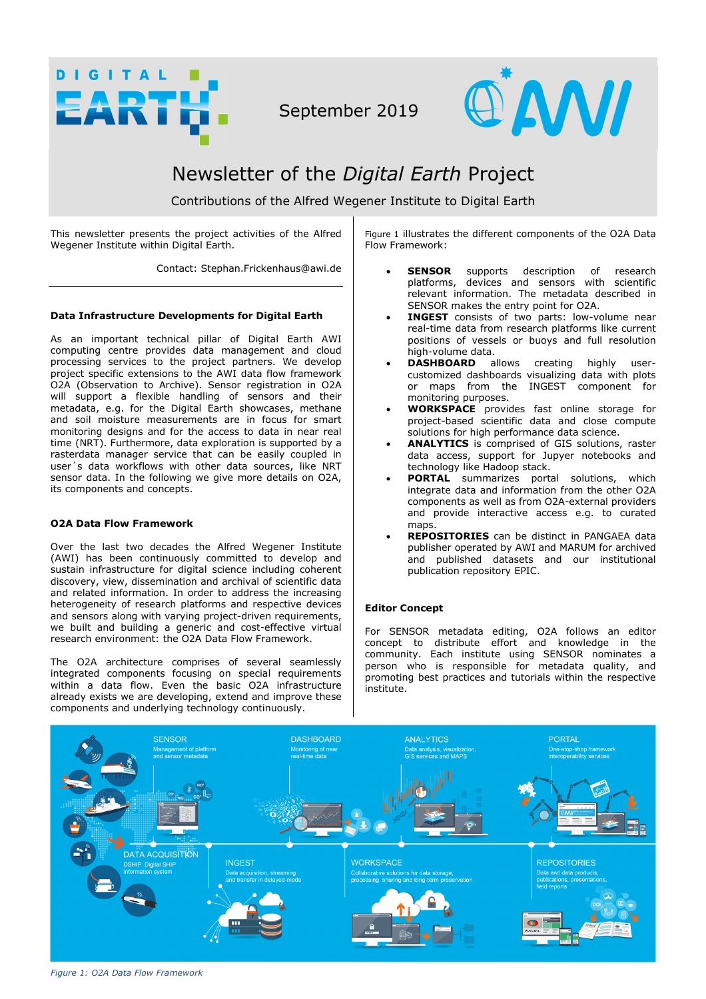

September 2019



# Newsletter of the *Digital Earth* Project

Contributions of the Alfred Wegener Institute to Digital Earth

This newsletter presents the project activities of the Alfred Wegener Institute within Digital Earth.

Contact: Stephan.Frickenhaus@awi.de

# **Data Infrastructure Developments for Digital Earth**

As an important technical pillar of Digital Earth AWI computing centre provides data management and cloud processing services to the project partners. We develop project specific extensions to the AWI data flow framework O2A (Observation to Archive). Sensor registration in O2A will support a flexible handling of sensors and their metadata, e.g. for the Digital Earth showcases, methane and soil moisture measurements are in focus for smart monitoring designs and for the access to data in near real time (NRT). Furthermore, data exploration is supported by a rasterdata manager service that can be easily coupled in user´s data workflows with other data sources, like NRT sensor data. In the following we give more details on O2A, its components and concepts.

# **O2A Data Flow Framework**

Over the last two decades the Alfred Wegener Institute (AWI) has been continuously committed to develop and sustain infrastructure for digital science including coherent discovery, view, dissemination and archival of scientific data and related information. In order to address the increasing heterogeneity of research platforms and respective devices and sensors along with varying project-driven requirements, we built and building a generic and cost-effective virtual research environment: the O2A Data Flow Framework.

The O2A architecture comprises of several seamlessly integrated components focusing on special requirements within a data flow. Even the basic O2A infrastructure already exists we are developing, extend and improve these components and underlying technology continuously.

Figure 1 illustrates the different components of the O2A Data Flow Framework:

- **SENSOR** supports description of research platforms, devices and sensors with scientific relevant information. The metadata described in SENSOR makes the entry point for O2A.
- **INGEST** consists of two parts: low-volume near real-time data from research platforms like current positions of vessels or buoys and full resolution high-volume data.
- **DASHBOARD** allows creating highly usercustomized dashboards visualizing data with plots or maps from the INGEST component for monitoring purposes.
- **WORKSPACE** provides fast online storage for project-based scientific data and close compute solutions for high performance data science.
- **ANALYTICS** is comprised of GIS solutions, raster data access, support for Jupyer notebooks and technology like Hadoop stack.
- **PORTAL** summarizes portal solutions, which integrate data and information from the other O2A components as well as from O2A-external providers and provide interactive access e.g. to curated maps.
- **REPOSITORIES** can be distinct in PANGAEA data publisher operated by AWI and MARUM for archived and published datasets and our institutional publication repository EPIC.

# **Editor Concept**

For SENSOR metadata editing, O2A follows an editor  $concept$  to distribute effort and knowledge in the community. Each institute using SENSOR nominates a person who is responsible for metadata quality, and promoting best practices and tutorials within the respective institute.



*Figure 1: O2A Data Flow Framework*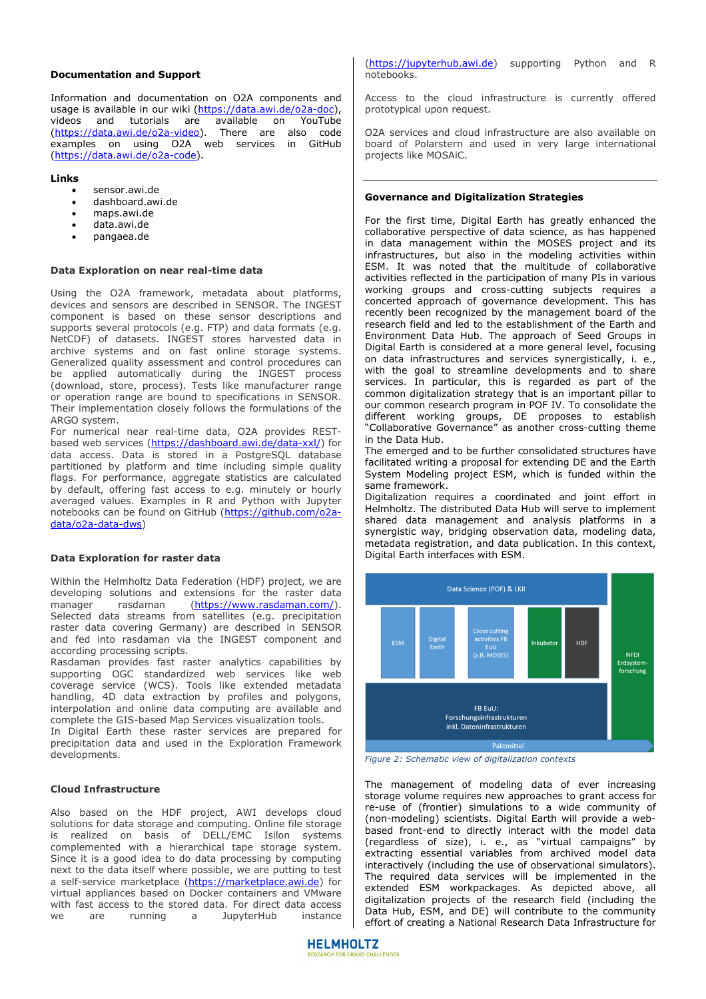#### **Documentation and Support**

Information and documentation on O2A components and usage is available in our wiki (https://data.awi.de/o2a-doc), videos and tutorials are available on YouTube (https://data.awi.de/o2a-video). There are also code examples on using O2A web services in GitHub (https://data.awi.de/o2a-code).

#### **Links**

- sensor.awi.de
- dashboard.awi.de
- maps.awi.de
- data.awi.de
- pangaea.de

#### **Data Exploration on near real-time data**

Using the O2A framework, metadata about platforms, devices and sensors are described in SENSOR. The INGEST component is based on these sensor descriptions and supports several protocols (e.g. FTP) and data formats (e.g. NetCDF) of datasets. INGEST stores harvested data in archive systems and on fast online storage systems. Generalized quality assessment and control procedures can be applied automatically during the INGEST process (download, store, process). Tests like manufacturer range or operation range are bound to specifications in SENSOR. Their implementation closely follows the formulations of the ARGO system.

For numerical near real-time data, O2A provides RESTbased web services (https://dashboard.awi.de/data-xxl/) for data access. Data is stored in a PostgreSQL database partitioned by platform and time including simple quality flags. For performance, aggregate statistics are calculated by default, offering fast access to e.g. minutely or hourly averaged values. Examples in R and Python with Jupyter notebooks can be found on GitHub (https://github.com/o2adata/o2a-data-dws)

#### **Data Exploration for raster data**

Within the Helmholtz Data Federation (HDF) project, we are developing solutions and extensions for the raster data manager rasdaman (https://www.rasdaman.com/). Selected data streams from satellites (e.g. precipitation raster data covering Germany) are described in SENSOR and fed into rasdaman via the INGEST component and according processing scripts.

Rasdaman provides fast raster analytics capabilities by supporting OGC standardized web services like web coverage service (WCS). Tools like extended metadata handling, 4D data extraction by profiles and polygons, interpolation and online data computing are available and complete the GIS-based Map Services visualization tools.

In Digital Earth these raster services are prepared for precipitation data and used in the Exploration Framework developments.

## **Cloud Infrastructure**

Also based on the HDF project, AWI develops cloud solutions for data storage and computing. Online file storage is realized on basis of DELL/EMC Isilon systems complemented with a hierarchical tape storage system. Since it is a good idea to do data processing by computing next to the data itself where possible, we are putting to test a self-service marketplace (https://marketplace.awi.de) for virtual appliances based on Docker containers and VMware with fast access to the stored data. For direct data access<br>we are running a JupyterHub instance we are running a JupyterHub

(https://jupyterhub.awi.de) supporting Python and R notebooks.

Access to the cloud infrastructure is currently offered prototypical upon request.

O2A services and cloud infrastructure are also available on board of Polarstern and used in very large international projects like MOSAiC.

## **Governance and Digitalization Strategies**

For the first time, Digital Earth has greatly enhanced the collaborative perspective of data science, as has happened in data management within the MOSES project and its infrastructures, but also in the modeling activities within ESM. It was noted that the multitude of collaborative activities reflected in the participation of many PIs in various working groups and cross-cutting subjects requires a concerted approach of governance development. This has recently been recognized by the management board of the research field and led to the establishment of the Earth and Environment Data Hub. The approach of Seed Groups in Digital Earth is considered at a more general level, focusing on data infrastructures and services synergistically, i. e., with the goal to streamline developments and to share services. In particular, this is regarded as part of the common digitalization strategy that is an important pillar to our common research program in POF IV. To consolidate the different working groups, DE proposes to establish "Collaborative Governance" as another cross-cutting theme in the Data Hub.

The emerged and to be further consolidated structures have facilitated writing a proposal for extending DE and the Earth System Modeling project ESM, which is funded within the same framework.

Digitalization requires a coordinated and joint effort in Helmholtz. The distributed Data Hub will serve to implement shared data management and analysis platforms in a synergistic way, bridging observation data, modeling data, metadata registration, and data publication. In this context, Digital Earth interfaces with ESM.



*Figure 2: Schematic view of digitalization contexts*

The management of modeling data of ever increasing storage volume requires new approaches to grant access for re-use of (frontier) simulations to a wide community of (non-modeling) scientists. Digital Earth will provide a webbased front-end to directly interact with the model data (regardless of size), i. e., as "virtual campaigns" by extracting essential variables from archived model data interactively (including the use of observational simulators). The required data services will be implemented in the extended ESM workpackages. As depicted above, all digitalization projects of the research field (including the Data Hub, ESM, and DE) will contribute to the community effort of creating a National Research Data Infrastructure for

**HELMHOLTZ RESEARCH FOR GRAND CHALLENGES**